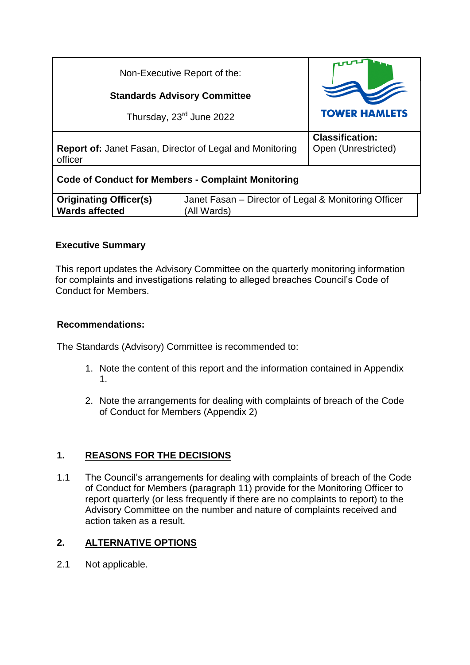| Non-Executive Report of the:                                               |                                                      |                                               |
|----------------------------------------------------------------------------|------------------------------------------------------|-----------------------------------------------|
| <b>Standards Advisory Committee</b>                                        |                                                      |                                               |
| Thursday, 23 <sup>rd</sup> June 2022                                       |                                                      | <b>TOWER HAMLETS</b>                          |
| <b>Report of: Janet Fasan, Director of Legal and Monitoring</b><br>officer |                                                      | <b>Classification:</b><br>Open (Unrestricted) |
| <b>Code of Conduct for Members - Complaint Monitoring</b>                  |                                                      |                                               |
| <b>Originating Officer(s)</b>                                              | Janet Fasan - Director of Legal & Monitoring Officer |                                               |
| <b>Wards affected</b>                                                      | (All Wards)                                          |                                               |

# **Executive Summary**

This report updates the Advisory Committee on the quarterly monitoring information for complaints and investigations relating to alleged breaches Council's Code of Conduct for Members.

## **Recommendations:**

The Standards (Advisory) Committee is recommended to:

- 1. Note the content of this report and the information contained in Appendix 1.
- 2. Note the arrangements for dealing with complaints of breach of the Code of Conduct for Members (Appendix 2)

# **1. REASONS FOR THE DECISIONS**

1.1 The Council's arrangements for dealing with complaints of breach of the Code of Conduct for Members (paragraph 11) provide for the Monitoring Officer to report quarterly (or less frequently if there are no complaints to report) to the Advisory Committee on the number and nature of complaints received and action taken as a result.

# **2. ALTERNATIVE OPTIONS**

2.1 Not applicable.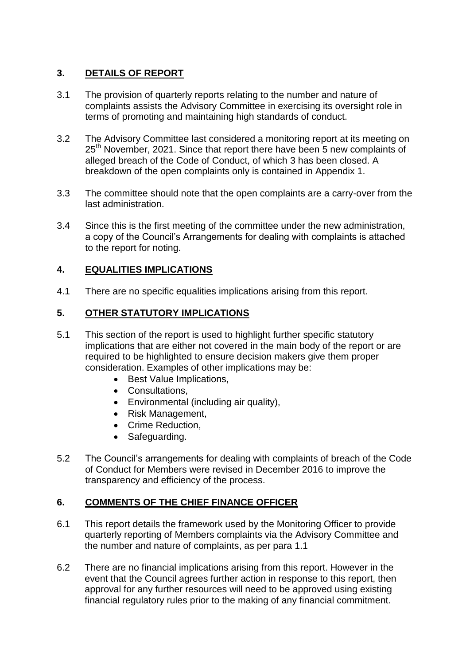## **3. DETAILS OF REPORT**

- 3.1 The provision of quarterly reports relating to the number and nature of complaints assists the Advisory Committee in exercising its oversight role in terms of promoting and maintaining high standards of conduct.
- 3.2 The Advisory Committee last considered a monitoring report at its meeting on 25<sup>th</sup> November, 2021. Since that report there have been 5 new complaints of alleged breach of the Code of Conduct, of which 3 has been closed. A breakdown of the open complaints only is contained in Appendix 1.
- 3.3 The committee should note that the open complaints are a carry-over from the last administration.
- 3.4 Since this is the first meeting of the committee under the new administration, a copy of the Council's Arrangements for dealing with complaints is attached to the report for noting.

## **4. EQUALITIES IMPLICATIONS**

4.1 There are no specific equalities implications arising from this report.

#### **5. OTHER STATUTORY IMPLICATIONS**

- 5.1 This section of the report is used to highlight further specific statutory implications that are either not covered in the main body of the report or are required to be highlighted to ensure decision makers give them proper consideration. Examples of other implications may be:
	- Best Value Implications,
	- Consultations,
	- Environmental (including air quality),
	- Risk Management,
	- Crime Reduction,
	- Safeguarding.
- 5.2 The Council's arrangements for dealing with complaints of breach of the Code of Conduct for Members were revised in December 2016 to improve the transparency and efficiency of the process.

## **6. COMMENTS OF THE CHIEF FINANCE OFFICER**

- 6.1 This report details the framework used by the Monitoring Officer to provide quarterly reporting of Members complaints via the Advisory Committee and the number and nature of complaints, as per para 1.1
- 6.2 There are no financial implications arising from this report. However in the event that the Council agrees further action in response to this report, then approval for any further resources will need to be approved using existing financial regulatory rules prior to the making of any financial commitment.